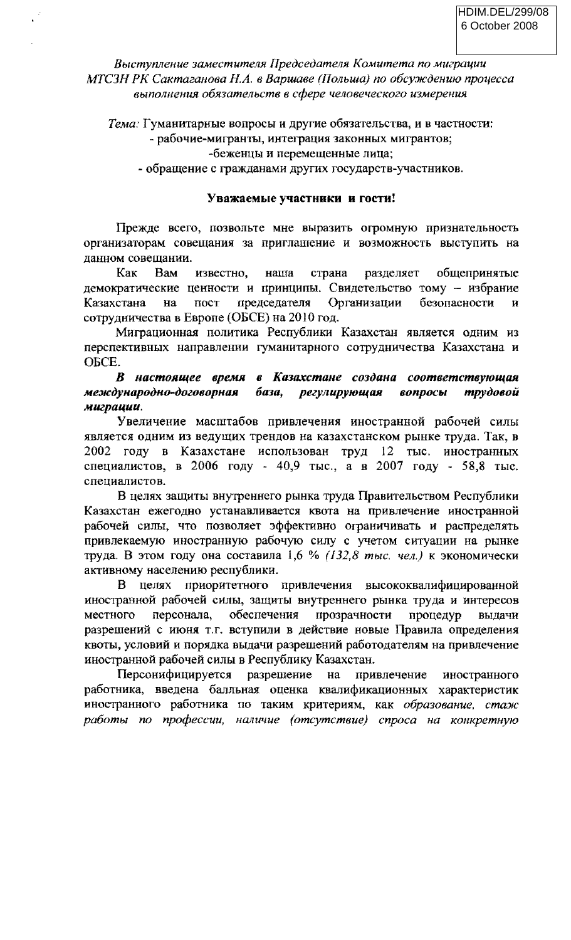Выступление заместителя Председателя Комитета по миграции МТСЗН РК Сактаганова Н.А. в Варшаве (Польша) по обсуждению процесса выполнения обязательств в сфере человеческого измерения

Тема: Гуманитарные вопросы и другие обязательства, и в частности:

## - рабочие-мигранты, интеграция законных мигрантов;

-беженцы и перемещенные лица;

- обращение с гражданами других государств-участников.

## Уважаемые участники и гости!

Прежде всего, позвольте мне выразить огромную признательность организаторам совещания за приглашение и возможность выступить на данном совещании.

страна Kak Bam известно, наша разделяет общепринятые демократические ценности и принципы. Свидетельство тому - избрание председателя Организации безопасности Казахстана на пост  $\overline{M}$ сотрудничества в Европе (ОБСЕ) на 2010 год.

Миграционная политика Республики Казахстан является одним из перспективных направлении гуманитарного сотрудничества Казахстана и ОБСЕ.

## В настоящее время в Казахстане создана соответствующая международно-договорная база, регулирующая вопросы трудовой миграции.

Увеличение масштабов привлечения иностранной рабочей силы является одним из ведущих трендов на казахстанском рынке труда. Так, в 2002 году в Казахстане использован труд 12 тыс. иностранных специалистов, в 2006 году - 40,9 тыс., а в 2007 году - 58,8 тыс. специалистов.

В целях защиты внутреннего рынка труда Правительством Республики Казахстан ежегодно устанавливается квота на привлечение иностранной рабочей силы, что позволяет эффективно ограничивать и распределять привлекаемую иностранную рабочую силу с учетом ситуации на рынке труда. В этом году она составила 1,6 % (132,8 тыс. чел.) к экономически активному населению республики.

целях приоритетного привлечения высококвалифицированной  $\mathbf{B}$ иностранной рабочей силы, защиты внутреннего рынка труда и интересов обеспечения прозрачности местного персонала, процедур вылачи разрешений с июня т.г. вступили в действие новые Правила определения квоты, условий и порядка выдачи разрешений работодателям на привлечение иностранной рабочей силы в Республику Казахстан.

Персонифицируется разрешение на привлечение иностранного работника, введена балльная оценка квалификационных характеристик иностранного работника по таким критериям, как образование, стаж работы по профессии, наличие (отсутствие) спроса на конкретную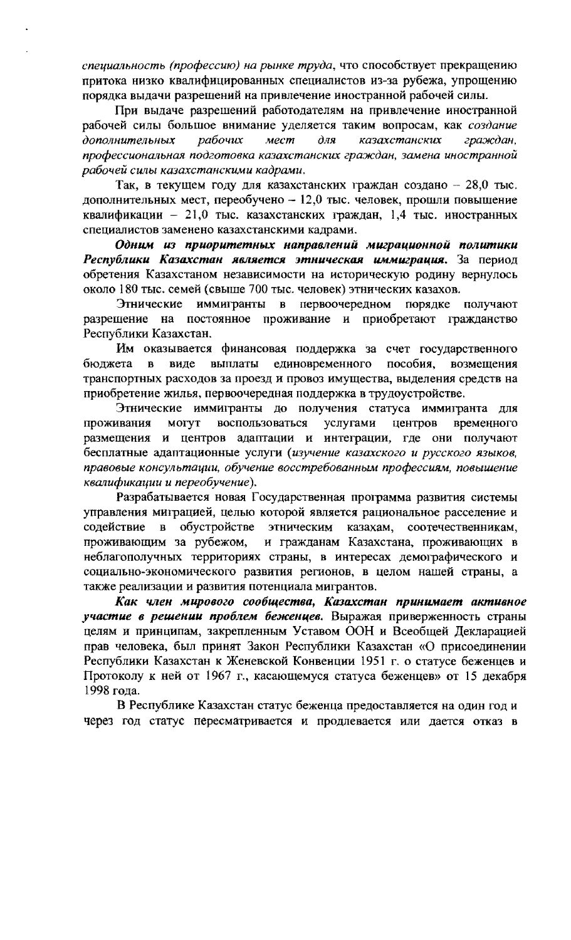специальность (профессию) на рынке труда, что способствует прекращению притока низко квалифицированных специалистов из-за рубежа, упрощению порядка выдачи разрешений на привлечение иностранной рабочей силы.

При выдаче разрешений работодателям на привлечение иностранной рабочей силы большое внимание уделяется таким вопросам, как создание казахстанских граждан, дополнительных рабочих мест  $\partial n$ профессиональная подготовка казахстанских граждан, замена иностранной рабочей силы казахстанскими кадрами.

Так, в текущем году для казахстанских граждан создано - 28,0 тыс. дополнительных мест, переобучено - 12,0 тыс. человек, прошли повышение квалификации - 21,0 тыс. казахстанских граждан, 1,4 тыс. иностранных специалистов заменено казахстанскими кадрами.

Одним из приоритетных направлений миграционной политики Республики Казахстан является этническая иммиграция. За период обретения Казахстаном независимости на историческую родину вернулось около 180 тыс. семей (свыше 700 тыс. человек) этнических казахов.

Этнические иммигранты  $\mathbf{B}$ первоочередном порядке получают разрешение на постоянное проживание и приобретают гражданство Республики Казахстан.

Им оказывается финансовая поддержка за счет государственного единовременного бюджета  $\mathbf{B}$ виде выплаты пособия. возмещения транспортных расходов за проезд и провоз имущества, выделения средств на приобретение жилья, первоочередная поддержка в трудоустройстве.

Этнические иммигранты до получения статуса иммигранта для **MOTYT** воспользоваться услугами центров проживания временного размещения и центров адаптации и интеграции, где они получают бесплатные адаптационные услуги (изучение казахского и русского языков, правовые консультации, обучение восстребованным профессиям, повышение квалификации и переобучение).

Разрабатывается новая Государственная программа развития системы управления миграцией, целью которой является рациональное расселение и содействие  $\overline{\mathbf{B}}$ обустройстве этническим казахам, соотечественникам, и гражданам Казахстана, проживающих в проживающим за рубежом, неблагополучных территориях страны, в интересах демографического и социально-экономического развития регионов, в целом нашей страны, а также реализации и развития потенциала мигрантов.

Как член мирового сообщества, Казахстан принимает активное участие в решении проблем беженцев. Выражая приверженность страны целям и принципам, закрепленным Уставом ООН и Всеобщей Декларацией прав человека, был принят Закон Республики Казахстан «О присоединении Республики Казахстан к Женевской Конвенции 1951 г. о статусе беженцев и Протоколу к ней от 1967 г., касающемуся статуса беженцев» от 15 декабря 1998 года.

В Республике Казахстан статус беженца предоставляется на один год и через год статус пересматривается и продлевается или дается отказ в